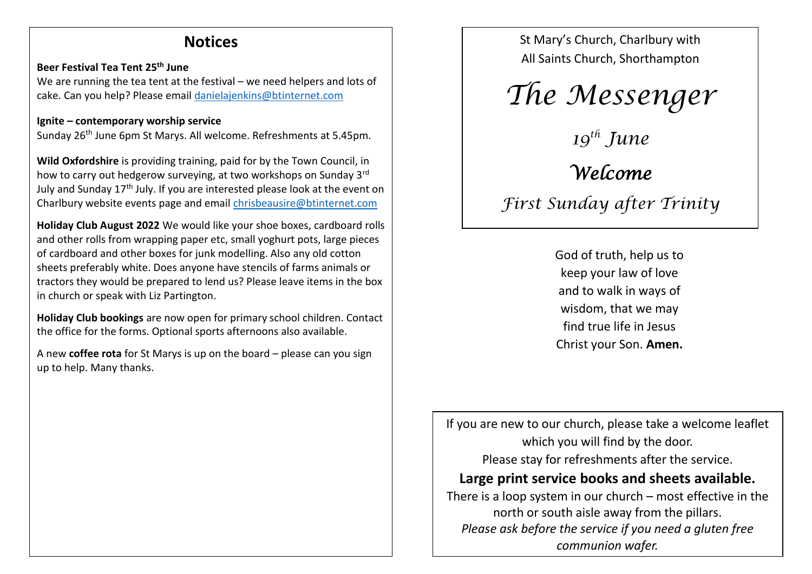## **Notices**

#### **Beer Festival Tea Tent 25th June**

We are running the tea tent at the festival – we need helpers and lots of cake. Can you help? Please email [danielajenkins@btinternet.com](mailto:danielajenkins@btinternet.com)

#### **Ignite – contemporary worship service**

Sunday 26th June 6pm St Marys. All welcome. Refreshments at 5.45pm.

**Wild Oxfordshire** is providing training, paid for by the Town Council, in how to carry out hedgerow surveying, at two workshops on Sunday 3rd July and Sunday 17<sup>th</sup> July. If you are interested please look at the event on Charlbury website events page and email [chrisbeausire@btinternet.com](mailto:chrisbeausire@btinternet.com)

**Holiday Club August 2022** We would like your shoe boxes, cardboard rolls and other rolls from wrapping paper etc, small yoghurt pots, large pieces of cardboard and other boxes for junk modelling. Also any old cotton sheets preferably white. Does anyone have stencils of farms animals or tractors they would be prepared to lend us? Please leave items in the box in church or speak with Liz Partington.

**Holiday Club bookings** are now open for primary school children. Contact the office for the forms. Optional sports afternoons also available.

A new **coffee rota** for St Marys is up on the board – please can you sign up to help. Many thanks.

St Mary's Church, Charlbury with All Saints Church, Shorthampton

# *The Messenger*

*19 th June Welcome* 

*First Sunday after Trinity*

God of truth, help us to keep your law of love and to walk in ways of wisdom, that we may find true life in Jesus Christ your Son. **Amen.**

If you are new to our church, please take a welcome leaflet which you will find by the door. Please stay for refreshments after the service. **Large print service books and sheets available.** There is a loop system in our church – most effective in the north or south aisle away from the pillars.

*Please ask before the service if you need a gluten free communion wafer.*